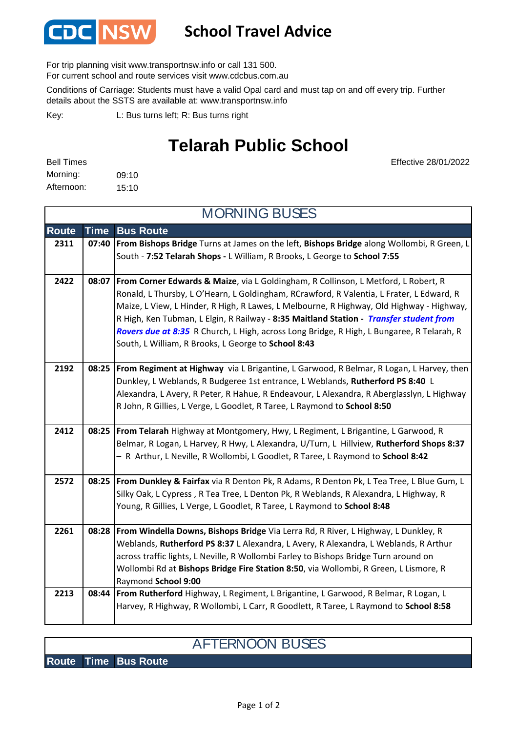

## **School Travel Advice**

For trip planning visit www.transportnsw.info or call 131 500.

For current school and route services visit www.cdcbus.com.au

Conditions of Carriage: Students must have a valid Opal card and must tap on and off every trip. Further details about the SSTS are available at: www.transportnsw.info

L: Bus turns left; R: Bus turns right Key:

## **Telarah Public School**

| <b>Bell Times</b> |       |
|-------------------|-------|
| Morning:          | 09:10 |
| Afternoon:        | 15:10 |

Effective 28/01/2022

| <b>MORNING BUSES</b> |             |                                                                                                                                                                                                                                                                                                                                                                                                                                                                                                                                     |  |
|----------------------|-------------|-------------------------------------------------------------------------------------------------------------------------------------------------------------------------------------------------------------------------------------------------------------------------------------------------------------------------------------------------------------------------------------------------------------------------------------------------------------------------------------------------------------------------------------|--|
| <b>Route</b>         | <b>Time</b> | <b>Bus Route</b>                                                                                                                                                                                                                                                                                                                                                                                                                                                                                                                    |  |
| 2311                 | 07:40       | From Bishops Bridge Turns at James on the left, Bishops Bridge along Wollombi, R Green, L<br>South - 7:52 Telarah Shops - L William, R Brooks, L George to School 7:55                                                                                                                                                                                                                                                                                                                                                              |  |
| 2422                 | 08:07       | <b>From Corner Edwards &amp; Maize, via L Goldingham, R Collinson, L Metford, L Robert, R</b><br>Ronald, L Thursby, L O'Hearn, L Goldingham, RCrawford, R Valentia, L Frater, L Edward, R<br>Maize, L View, L Hinder, R High, R Lawes, L Melbourne, R Highway, Old Highway - Highway,<br>R High, Ken Tubman, L Elgin, R Railway - 8:35 Maitland Station - Transfer student from<br>Rovers due at 8:35 R Church, L High, across Long Bridge, R High, L Bungaree, R Telarah, R<br>South, L William, R Brooks, L George to School 8:43 |  |
| 2192                 |             | 08:25   From Regiment at Highway via L Brigantine, L Garwood, R Belmar, R Logan, L Harvey, then<br>Dunkley, L Weblands, R Budgeree 1st entrance, L Weblands, Rutherford PS 8:40 L<br>Alexandra, L Avery, R Peter, R Hahue, R Endeavour, L Alexandra, R Aberglasslyn, L Highway<br>R John, R Gillies, L Verge, L Goodlet, R Taree, L Raymond to School 8:50                                                                                                                                                                          |  |
| 2412                 |             | 08:25   From Telarah Highway at Montgomery, Hwy, L Regiment, L Brigantine, L Garwood, R<br>Belmar, R Logan, L Harvey, R Hwy, L Alexandra, U/Turn, L Hillview, Rutherford Shops 8:37<br>- R Arthur, L Neville, R Wollombi, L Goodlet, R Taree, L Raymond to School 8:42                                                                                                                                                                                                                                                              |  |
| 2572                 |             | 08:25   From Dunkley & Fairfax via R Denton Pk, R Adams, R Denton Pk, L Tea Tree, L Blue Gum, L<br>Silky Oak, L Cypress, R Tea Tree, L Denton Pk, R Weblands, R Alexandra, L Highway, R<br>Young, R Gillies, L Verge, L Goodlet, R Taree, L Raymond to School 8:48                                                                                                                                                                                                                                                                  |  |
| 2261                 | 08:28       | From Windella Downs, Bishops Bridge Via Lerra Rd, R River, L Highway, L Dunkley, R<br>Weblands, Rutherford PS 8:37 L Alexandra, L Avery, R Alexandra, L Weblands, R Arthur<br>across traffic lights, L Neville, R Wollombi Farley to Bishops Bridge Turn around on<br>Wollombi Rd at Bishops Bridge Fire Station 8:50, via Wollombi, R Green, L Lismore, R<br>Raymond School 9:00                                                                                                                                                   |  |
| 2213                 | 08:44       | From Rutherford Highway, L Regiment, L Brigantine, L Garwood, R Belmar, R Logan, L<br>Harvey, R Highway, R Wollombi, L Carr, R Goodlett, R Taree, L Raymond to School 8:58                                                                                                                                                                                                                                                                                                                                                          |  |

## AFTERNOON BUSES

**Route Time Bus Route**